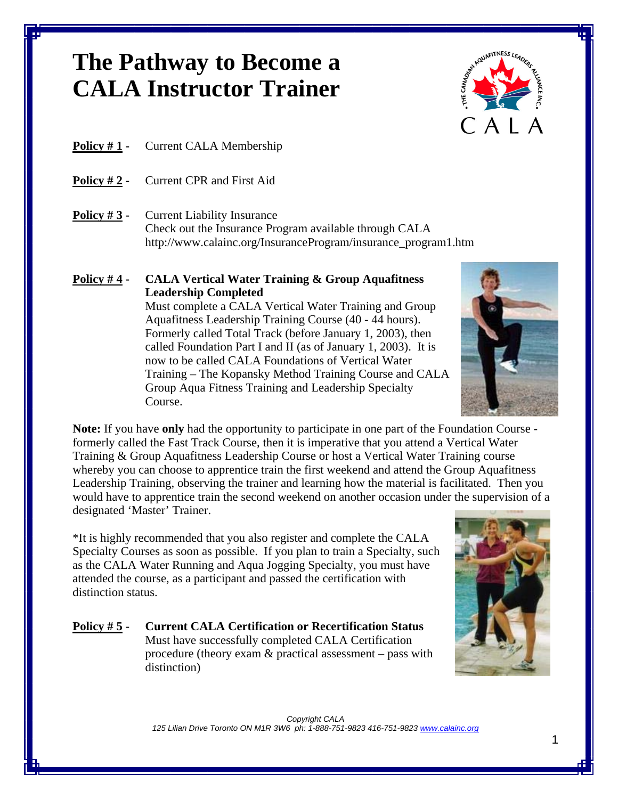# **The Pathway to Become a CALA Instructor Trainer**



### **Policy # 1 -** Current CALA Membership

- **Policy # 2** Current CPR and First Aid
- **Policy #3 -** Current Liability Insurance Check out the Insurance Program available through CALA http://www.calainc.org/InsuranceProgram/insurance\_program1.htm

# **Policy # 4 - CALA Vertical Water Training & Group Aquafitness Leadership Completed**

Must complete a CALA Vertical Water Training and Group Aquafitness Leadership Training Course (40 - 44 hours). Formerly called Total Track (before January 1, 2003), then called Foundation Part I and II (as of January 1, 2003). It is now to be called CALA Foundations of Vertical Water Training – The Kopansky Method Training Course and CALA Group Aqua Fitness Training and Leadership Specialty Course.

**Note:** If you have **only** had the opportunity to participate in one part of the Foundation Course formerly called the Fast Track Course, then it is imperative that you attend a Vertical Water Training & Group Aquafitness Leadership Course or host a Vertical Water Training course whereby you can choose to apprentice train the first weekend and attend the Group Aquafitness Leadership Training, observing the trainer and learning how the material is facilitated. Then you would have to apprentice train the second weekend on another occasion under the supervision of a designated 'Master' Trainer.

\*It is highly recommended that you also register and complete the CALA Specialty Courses as soon as possible. If you plan to train a Specialty, such as the CALA Water Running and Aqua Jogging Specialty, you must have attended the course, as a participant and passed the certification with distinction status.

#### **Policy # 5 - Current CALA Certification or Recertification Status**  Must have successfully completed CALA Certification procedure (theory exam & practical assessment – pass with distinction)



*Copyright CALA 125 Lilian Drive Toronto ON M1R 3W6 ph: 1-888-751-9823 416-751-9823 www.calainc.org*